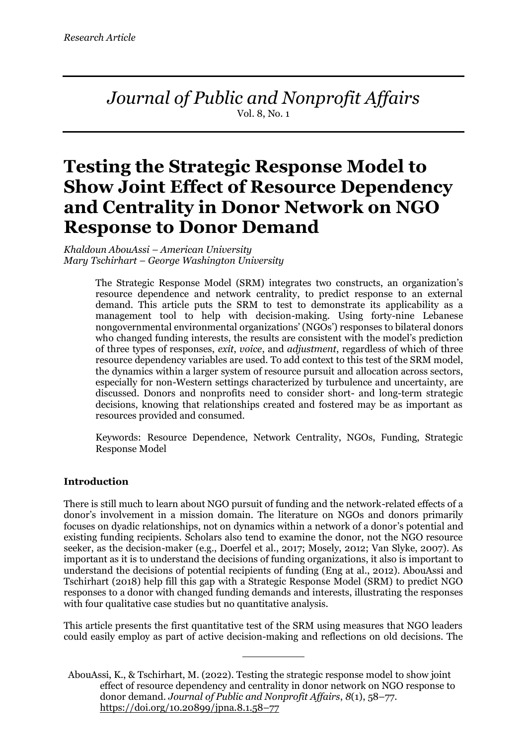*Journal of Public and Nonprofit Affairs* Vol. 8, No. 1

# **Testing the Strategic Response Model to Show Joint Effect of Resource Dependency and Centrality in Donor Network on NGO Response to Donor Demand**

*Khaldoun AbouAssi – American University Mary Tschirhart – George Washington University*

> The Strategic Response Model (SRM) integrates two constructs, an organization's resource dependence and network centrality, to predict response to an external demand. This article puts the SRM to test to demonstrate its applicability as a management tool to help with decision-making. Using forty-nine Lebanese nongovernmental environmental organizations' (NGOs') responses to bilateral donors who changed funding interests, the results are consistent with the model's prediction of three types of responses, *exit*, *voice*, and *adjustment*, regardless of which of three resource dependency variables are used. To add context to this test of the SRM model, the dynamics within a larger system of resource pursuit and allocation across sectors, especially for non-Western settings characterized by turbulence and uncertainty, are discussed. Donors and nonprofits need to consider short- and long-term strategic decisions, knowing that relationships created and fostered may be as important as resources provided and consumed.

> Keywords: Resource Dependence, Network Centrality, NGOs, Funding, Strategic Response Model

### **Introduction**

There is still much to learn about NGO pursuit of funding and the network-related effects of a donor's involvement in a mission domain. The literature on NGOs and donors primarily focuses on dyadic relationships, not on dynamics within a network of a donor's potential and existing funding recipients. Scholars also tend to examine the donor, not the NGO resource seeker, as the decision-maker (e.g., Doerfel et al., 2017; Mosely, 2012; Van Slyke, 2007). As important as it is to understand the decisions of funding organizations, it also is important to understand the decisions of potential recipients of funding (Eng at al., 2012). AbouAssi and Tschirhart (2018) help fill this gap with a Strategic Response Model (SRM) to predict NGO responses to a donor with changed funding demands and interests, illustrating the responses with four qualitative case studies but no quantitative analysis.

This article presents the first quantitative test of the SRM using measures that NGO leaders could easily employ as part of active decision-making and reflections on old decisions. The

AbouAssi, K., & Tschirhart, M. (2022). Testing the strategic response model to show joint effect of resource dependency and centrality in donor network on NGO response to donor demand. *Journal of Public and Nonprofit Affairs*, *8*(1), 58–77. https://doi.org/10.20899/jpna.8.1.58–77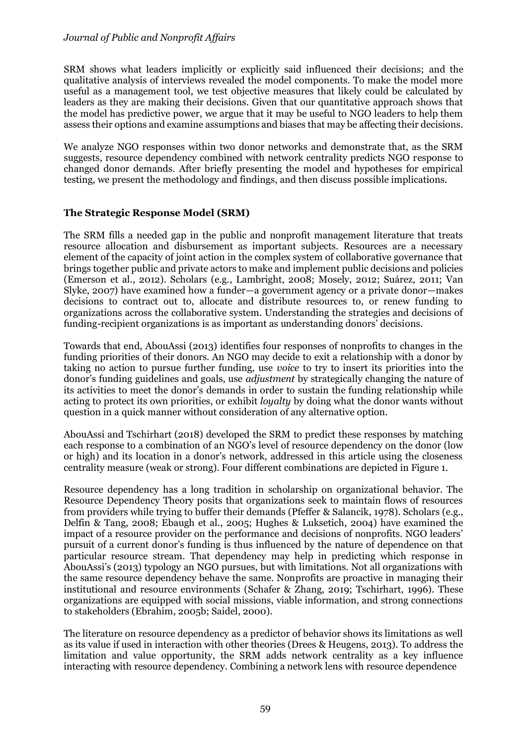SRM shows what leaders implicitly or explicitly said influenced their decisions; and the qualitative analysis of interviews revealed the model components. To make the model more useful as a management tool, we test objective measures that likely could be calculated by leaders as they are making their decisions. Given that our quantitative approach shows that the model has predictive power, we argue that it may be useful to NGO leaders to help them assess their options and examine assumptions and biases that may be affecting their decisions.

We analyze NGO responses within two donor networks and demonstrate that, as the SRM suggests, resource dependency combined with network centrality predicts NGO response to changed donor demands. After briefly presenting the model and hypotheses for empirical testing, we present the methodology and findings, and then discuss possible implications.

### **The Strategic Response Model (SRM)**

The SRM fills a needed gap in the public and nonprofit management literature that treats resource allocation and disbursement as important subjects. Resources are a necessary element of the capacity of joint action in the complex system of collaborative governance that brings together public and private actors to make and implement public decisions and policies (Emerson et al., 2012). Scholars (e.g., Lambright, 2008; Mosely, 2012; Suárez, 2011; Van Slyke, 2007) have examined how a funder—a government agency or a private donor—makes decisions to contract out to, allocate and distribute resources to, or renew funding to organizations across the collaborative system. Understanding the strategies and decisions of funding-recipient organizations is as important as understanding donors' decisions.

Towards that end, AbouAssi (2013) identifies four responses of nonprofits to changes in the funding priorities of their donors. An NGO may decide to exit a relationship with a donor by taking no action to pursue further funding, use *voice* to try to insert its priorities into the donor's funding guidelines and goals, use *adjustment* by strategically changing the nature of its activities to meet the donor's demands in order to sustain the funding relationship while acting to protect its own priorities, or exhibit *loyalty* by doing what the donor wants without question in a quick manner without consideration of any alternative option.

AbouAssi and Tschirhart (2018) developed the SRM to predict these responses by matching each response to a combination of an NGO's level of resource dependency on the donor (low or high) and its location in a donor's network, addressed in this article using the closeness centrality measure (weak or strong). Four different combinations are depicted in Figure 1.

Resource dependency has a long tradition in scholarship on organizational behavior. The Resource Dependency Theory posits that organizations seek to maintain flows of resources from providers while trying to buffer their demands (Pfeffer & Salancik, 1978). Scholars (e.g., Delfin & Tang, 2008; Ebaugh et al., 2005; Hughes & Luksetich, 2004) have examined the impact of a resource provider on the performance and decisions of nonprofits. NGO leaders' pursuit of a current donor's funding is thus influenced by the nature of dependence on that particular resource stream. That dependency may help in predicting which response in AbouAssi's (2013) typology an NGO pursues, but with limitations. Not all organizations with the same resource dependency behave the same. Nonprofits are proactive in managing their institutional and resource environments (Schafer & Zhang, 2019; Tschirhart, 1996). These organizations are equipped with social missions, viable information, and strong connections to stakeholders (Ebrahim, 2005b; Saidel, 2000).

The literature on resource dependency as a predictor of behavior shows its limitations as well as its value if used in interaction with other theories (Drees & Heugens, 2013). To address the limitation and value opportunity, the SRM adds network centrality as a key influence interacting with resource dependency. Combining a network lens with resource dependence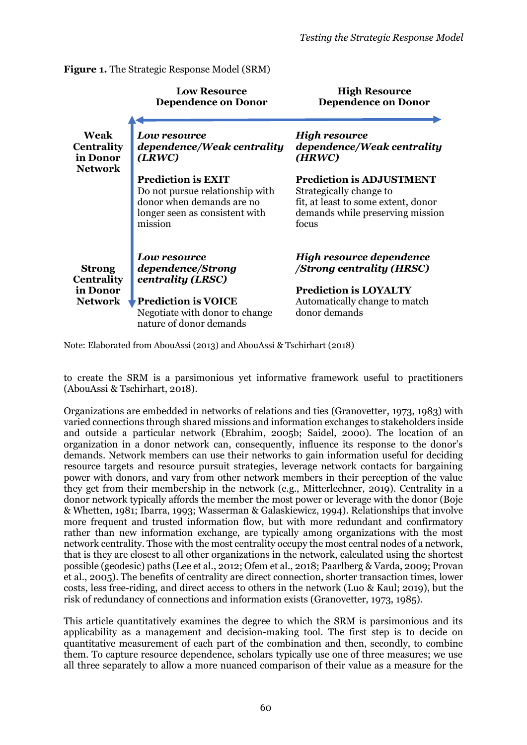**Figure 1.** The Strategic Response Model (SRM)

|                                                         | <b>Low Resource</b><br><b>Dependence on Donor</b>                                                                                      | <b>High Resource</b><br><b>Dependence on Donor</b>                                                                                             |  |  |  |
|---------------------------------------------------------|----------------------------------------------------------------------------------------------------------------------------------------|------------------------------------------------------------------------------------------------------------------------------------------------|--|--|--|
| Weak<br><b>Centrality</b><br>in Donor<br><b>Network</b> | Low resource<br>dependence/Weak centrality<br>(LRWC)                                                                                   | <b>High resource</b><br>dependence/Weak centrality<br>(HRWC)                                                                                   |  |  |  |
|                                                         | <b>Prediction is EXIT</b><br>Do not pursue relationship with<br>donor when demands are no<br>longer seen as consistent with<br>mission | <b>Prediction is ADJUSTMENT</b><br>Strategically change to<br>fit, at least to some extent, donor<br>demands while preserving mission<br>focus |  |  |  |
| <b>Strong</b><br><b>Centrality</b>                      | <b>Low resource</b><br>dependence/Strong<br>centrality (LRSC)                                                                          | High resource dependence<br>/Strong centrality (HRSC)                                                                                          |  |  |  |
| in Donor<br><b>Network</b>                              | <b>Prediction is VOICE</b><br>Negotiate with donor to change<br>nature of donor demands                                                | <b>Prediction is LOYALTY</b><br>Automatically change to match<br>donor demands                                                                 |  |  |  |

Note: Elaborated from AbouAssi (2013) and AbouAssi & Tschirhart (2018)

to create the SRM is a parsimonious yet informative framework useful to practitioners (AbouAssi & Tschirhart, 2018).

Organizations are embedded in networks of relations and ties (Granovetter, 1973, 1983) with varied connections through shared missions and information exchanges to stakeholders inside and outside a particular network (Ebrahim, 2005b; Saidel, 2000). The location of an organization in a donor network can, consequently, influence its response to the donor's demands. Network members can use their networks to gain information useful for deciding resource targets and resource pursuit strategies, leverage network contacts for bargaining power with donors, and vary from other network members in their perception of the value they get from their membership in the network (e.g., Mitterlechner, 2019). Centrality in a donor network typically affords the member the most power or leverage with the donor (Boje & Whetten, 1981; Ibarra, 1993; Wasserman & Galaskiewicz, 1994). Relationships that involve more frequent and trusted information flow, but with more redundant and confirmatory rather than new information exchange, are typically among organizations with the most network centrality. Those with the most centrality occupy the most central nodes of a network, that is they are closest to all other organizations in the network, calculated using the shortest possible (geodesic) paths (Lee et al., 2012; Ofem et al., 2018; Paarlberg & Varda, 2009; Provan et al., 2005). The benefits of centrality are direct connection, shorter transaction times, lower costs, less free-riding, and direct access to others in the network (Luo & Kaul; 2019), but the risk of redundancy of connections and information exists (Granovetter, 1973, 1985).

This article quantitatively examines the degree to which the SRM is parsimonious and its applicability as a management and decision-making tool. The first step is to decide on quantitative measurement of each part of the combination and then, secondly, to combine them. To capture resource dependence, scholars typically use one of three measures; we use all three separately to allow a more nuanced comparison of their value as a measure for the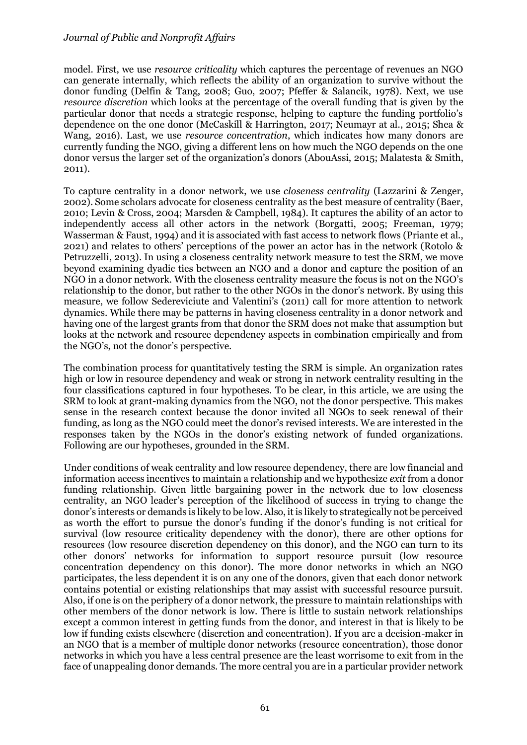model. First, we use *resource criticality* which captures the percentage of revenues an NGO can generate internally, which reflects the ability of an organization to survive without the donor funding (Delfin & Tang, 2008; Guo, 2007; Pfeffer & Salancik, 1978). Next, we use *resource discretion* which looks at the percentage of the overall funding that is given by the particular donor that needs a strategic response, helping to capture the funding portfolio's dependence on the one donor (McCaskill & Harrington, 2017; Neumayr at al., 2015; Shea & Wang, 2016). Last, we use *resource concentration*, which indicates how many donors are currently funding the NGO, giving a different lens on how much the NGO depends on the one donor versus the larger set of the organization's donors (AbouAssi, 2015; Malatesta & Smith, 2011).

To capture centrality in a donor network, we use *closeness centrality* (Lazzarini & Zenger, 2002). Some scholars advocate for closeness centrality as the best measure of centrality (Baer, 2010; Levin & Cross, 2004; Marsden & Campbell, 1984). It captures the ability of an actor to independently access all other actors in the network (Borgatti, 2005; Freeman, 1979; Wasserman & Faust, 1994) and it is associated with fast access to network flows (Priante et al., 2021) and relates to others' perceptions of the power an actor has in the network (Rotolo & Petruzzelli, 2013). In using a closeness centrality network measure to test the SRM, we move beyond examining dyadic ties between an NGO and a donor and capture the position of an NGO in a donor network. With the closeness centrality measure the focus is not on the NGO's relationship to the donor, but rather to the other NGOs in the donor's network. By using this measure, we follow Sedereviciute and Valentini's (2011) call for more attention to network dynamics. While there may be patterns in having closeness centrality in a donor network and having one of the largest grants from that donor the SRM does not make that assumption but looks at the network and resource dependency aspects in combination empirically and from the NGO's, not the donor's perspective.

The combination process for quantitatively testing the SRM is simple. An organization rates high or low in resource dependency and weak or strong in network centrality resulting in the four classifications captured in four hypotheses. To be clear, in this article, we are using the SRM to look at grant-making dynamics from the NGO, not the donor perspective. This makes sense in the research context because the donor invited all NGOs to seek renewal of their funding, as long as the NGO could meet the donor's revised interests. We are interested in the responses taken by the NGOs in the donor's existing network of funded organizations. Following are our hypotheses, grounded in the SRM.

Under conditions of weak centrality and low resource dependency, there are low financial and information access incentives to maintain a relationship and we hypothesize *exit* from a donor funding relationship. Given little bargaining power in the network due to low closeness centrality, an NGO leader's perception of the likelihood of success in trying to change the donor's interests or demands is likely to be low. Also, it is likely to strategically not be perceived as worth the effort to pursue the donor's funding if the donor's funding is not critical for survival (low resource criticality dependency with the donor), there are other options for resources (low resource discretion dependency on this donor), and the NGO can turn to its other donors' networks for information to support resource pursuit (low resource concentration dependency on this donor). The more donor networks in which an NGO participates, the less dependent it is on any one of the donors, given that each donor network contains potential or existing relationships that may assist with successful resource pursuit. Also, if one is on the periphery of a donor network, the pressure to maintain relationships with other members of the donor network is low. There is little to sustain network relationships except a common interest in getting funds from the donor, and interest in that is likely to be low if funding exists elsewhere (discretion and concentration). If you are a decision-maker in an NGO that is a member of multiple donor networks (resource concentration), those donor networks in which you have a less central presence are the least worrisome to exit from in the face of unappealing donor demands. The more central you are in a particular provider network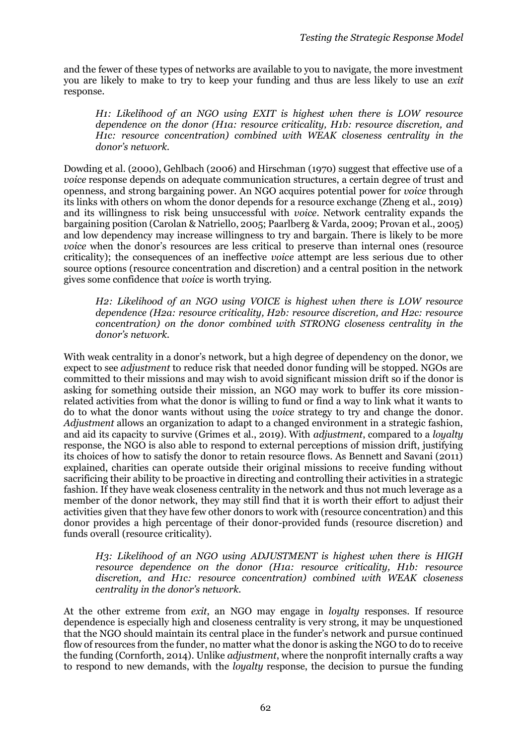and the fewer of these types of networks are available to you to navigate, the more investment you are likely to make to try to keep your funding and thus are less likely to use an *exit* response.

*H1: Likelihood of an NGO using EXIT is highest when there is LOW resource dependence on the donor (H1a: resource criticality, H1b: resource discretion, and H1c: resource concentration) combined with WEAK closeness centrality in the donor's network.*

Dowding et al. (2000), Gehlbach (2006) and Hirschman (1970) suggest that effective use of a *voice* response depends on adequate communication structures, a certain degree of trust and openness, and strong bargaining power. An NGO acquires potential power for *voice* through its links with others on whom the donor depends for a resource exchange (Zheng et al., 2019) and its willingness to risk being unsuccessful with *voice*. Network centrality expands the bargaining position (Carolan & Natriello, 2005; Paarlberg & Varda, 2009; Provan et al., 2005) and low dependency may increase willingness to try and bargain. There is likely to be more *voice* when the donor's resources are less critical to preserve than internal ones (resource criticality); the consequences of an ineffective *voice* attempt are less serious due to other source options (resource concentration and discretion) and a central position in the network gives some confidence that *voice* is worth trying.

*H2: Likelihood of an NGO using VOICE is highest when there is LOW resource dependence (H2a: resource criticality, H2b: resource discretion, and H2c: resource concentration) on the donor combined with STRONG closeness centrality in the donor's network.* 

With weak centrality in a donor's network, but a high degree of dependency on the donor, we expect to see *adjustment* to reduce risk that needed donor funding will be stopped. NGOs are committed to their missions and may wish to avoid significant mission drift so if the donor is asking for something outside their mission, an NGO may work to buffer its core missionrelated activities from what the donor is willing to fund or find a way to link what it wants to do to what the donor wants without using the *voice* strategy to try and change the donor. *Adjustment* allows an organization to adapt to a changed environment in a strategic fashion, and aid its capacity to survive (Grimes et al., 2019). With *adjustment*, compared to a *loyalty* response, the NGO is also able to respond to external perceptions of mission drift, justifying its choices of how to satisfy the donor to retain resource flows. As Bennett and Savani (2011) explained, charities can operate outside their original missions to receive funding without sacrificing their ability to be proactive in directing and controlling their activities in a strategic fashion. If they have weak closeness centrality in the network and thus not much leverage as a member of the donor network, they may still find that it is worth their effort to adjust their activities given that they have few other donors to work with (resource concentration) and this donor provides a high percentage of their donor-provided funds (resource discretion) and funds overall (resource criticality).

*H3: Likelihood of an NGO using ADJUSTMENT is highest when there is HIGH resource dependence on the donor (H1a: resource criticality, H1b: resource discretion, and H1c: resource concentration) combined with WEAK closeness centrality in the donor's network.*

At the other extreme from *exit*, an NGO may engage in *loyalty* responses. If resource dependence is especially high and closeness centrality is very strong, it may be unquestioned that the NGO should maintain its central place in the funder's network and pursue continued flow of resources from the funder, no matter what the donor is asking the NGO to do to receive the funding (Cornforth, 2014). Unlike *adjustment*, where the nonprofit internally crafts a way to respond to new demands, with the *loyalty* response, the decision to pursue the funding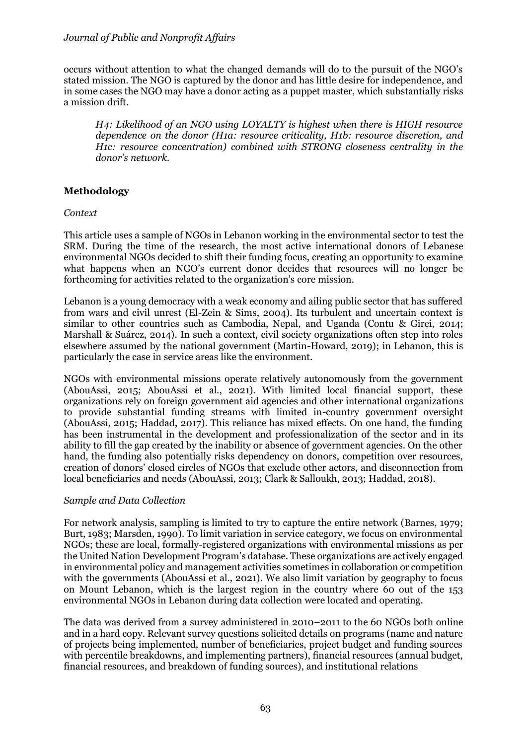occurs without attention to what the changed demands will do to the pursuit of the NGO's stated mission. The NGO is captured by the donor and has little desire for independence, and in some cases the NGO may have a donor acting as a puppet master, which substantially risks a mission drift.

*H4: Likelihood of an NGO using LOYALTY is highest when there is HIGH resource dependence on the donor (H1a: resource criticality, H1b: resource discretion, and H1c: resource concentration) combined with STRONG closeness centrality in the donor's network.*

# **Methodology**

*Context*

This article uses a sample of NGOs in Lebanon working in the environmental sector to test the SRM. During the time of the research, the most active international donors of Lebanese environmental NGOs decided to shift their funding focus, creating an opportunity to examine what happens when an NGO's current donor decides that resources will no longer be forthcoming for activities related to the organization's core mission.

Lebanon is a young democracy with a weak economy and ailing public sector that has suffered from wars and civil unrest (El-Zein & Sims, 2004). Its turbulent and uncertain context is similar to other countries such as Cambodia, Nepal, and Uganda (Contu & Girei, 2014; Marshall & Suárez, 2014). In such a context, civil society organizations often step into roles elsewhere assumed by the national government (Martin-Howard, 2019); in Lebanon, this is particularly the case in service areas like the environment.

NGOs with environmental missions operate relatively autonomously from the government (AbouAssi, 2015; AbouAssi et al., 2021). With limited local financial support, these organizations rely on foreign government aid agencies and other international organizations to provide substantial funding streams with limited in-country government oversight (AbouAssi, 2015; Haddad, 2017). This reliance has mixed effects. On one hand, the funding has been instrumental in the development and professionalization of the sector and in its ability to fill the gap created by the inability or absence of government agencies. On the other hand, the funding also potentially risks dependency on donors, competition over resources, creation of donors' closed circles of NGOs that exclude other actors, and disconnection from local beneficiaries and needs (AbouAssi, 2013; Clark & Salloukh, 2013; Haddad, 2018).

### *Sample and Data Collection*

For network analysis, sampling is limited to try to capture the entire network (Barnes, 1979; Burt, 1983; Marsden, 1990). To limit variation in service category, we focus on environmental NGOs; these are local, formally-registered organizations with environmental missions as per the United Nation Development Program's database. These organizations are actively engaged in environmental policy and management activities sometimes in collaboration or competition with the governments (AbouAssi et al., 2021). We also limit variation by geography to focus on Mount Lebanon, which is the largest region in the country where 60 out of the 153 environmental NGOs in Lebanon during data collection were located and operating.

The data was derived from a survey administered in 2010–2011 to the 60 NGOs both online and in a hard copy. Relevant survey questions solicited details on programs (name and nature of projects being implemented, number of beneficiaries, project budget and funding sources with percentile breakdowns, and implementing partners), financial resources (annual budget, financial resources, and breakdown of funding sources), and institutional relations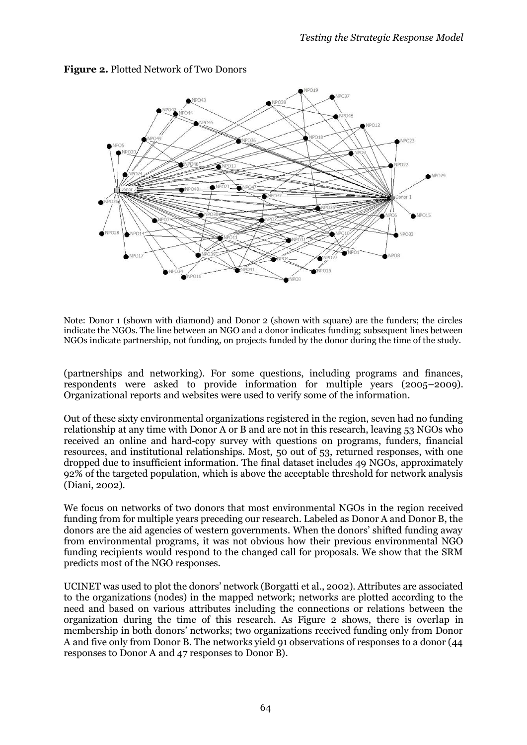

# **Figure 2.** Plotted Network of Two Donors

Note: Donor 1 (shown with diamond) and Donor 2 (shown with square) are the funders; the circles indicate the NGOs. The line between an NGO and a donor indicates funding; subsequent lines between NGOs indicate partnership, not funding, on projects funded by the donor during the time of the study.

(partnerships and networking). For some questions, including programs and finances, respondents were asked to provide information for multiple years (2005–2009). Organizational reports and websites were used to verify some of the information.

Out of these sixty environmental organizations registered in the region, seven had no funding relationship at any time with Donor A or B and are not in this research, leaving 53 NGOs who received an online and hard-copy survey with questions on programs, funders, financial resources, and institutional relationships. Most, 50 out of 53, returned responses, with one dropped due to insufficient information. The final dataset includes 49 NGOs, approximately 92% of the targeted population, which is above the acceptable threshold for network analysis (Diani, 2002).

We focus on networks of two donors that most environmental NGOs in the region received funding from for multiple years preceding our research. Labeled as Donor A and Donor B, the donors are the aid agencies of western governments. When the donors' shifted funding away from environmental programs, it was not obvious how their previous environmental NGO funding recipients would respond to the changed call for proposals. We show that the SRM predicts most of the NGO responses.

UCINET was used to plot the donors' network (Borgatti et al., 2002). Attributes are associated to the organizations (nodes) in the mapped network; networks are plotted according to the need and based on various attributes including the connections or relations between the organization during the time of this research. As Figure 2 shows, there is overlap in membership in both donors' networks; two organizations received funding only from Donor A and five only from Donor B. The networks yield 91 observations of responses to a donor (44 responses to Donor A and 47 responses to Donor B).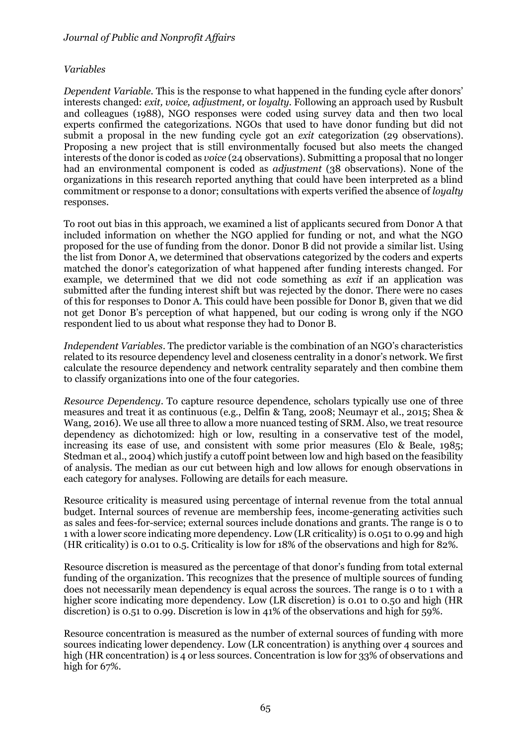### *Variables*

*Dependent Variable.* This is the response to what happened in the funding cycle after donors' interests changed: *exit, voice, adjustment,* or *loyalty*. Following an approach used by Rusbult and colleagues (1988), NGO responses were coded using survey data and then two local experts confirmed the categorizations. NGOs that used to have donor funding but did not submit a proposal in the new funding cycle got an *exit* categorization (29 observations). Proposing a new project that is still environmentally focused but also meets the changed interests of the donor is coded as *voice* (24 observations). Submitting a proposal that no longer had an environmental component is coded as *adjustment* (38 observations). None of the organizations in this research reported anything that could have been interpreted as a blind commitment or response to a donor; consultations with experts verified the absence of *loyalty* responses.

To root out bias in this approach, we examined a list of applicants secured from Donor A that included information on whether the NGO applied for funding or not, and what the NGO proposed for the use of funding from the donor. Donor B did not provide a similar list. Using the list from Donor A, we determined that observations categorized by the coders and experts matched the donor's categorization of what happened after funding interests changed. For example, we determined that we did not code something as *exit* if an application was submitted after the funding interest shift but was rejected by the donor. There were no cases of this for responses to Donor A. This could have been possible for Donor B, given that we did not get Donor B's perception of what happened, but our coding is wrong only if the NGO respondent lied to us about what response they had to Donor B.

*Independent Variables*. The predictor variable is the combination of an NGO's characteristics related to its resource dependency level and closeness centrality in a donor's network. We first calculate the resource dependency and network centrality separately and then combine them to classify organizations into one of the four categories.

*Resource Dependency*. To capture resource dependence, scholars typically use one of three measures and treat it as continuous (e.g., Delfin & Tang, 2008; Neumayr et al., 2015; Shea & Wang, 2016). We use all three to allow a more nuanced testing of SRM. Also, we treat resource dependency as dichotomized: high or low, resulting in a conservative test of the model, increasing its ease of use, and consistent with some prior measures (Elo & Beale, 1985; Stedman et al., 2004) which justify a cutoff point between low and high based on the feasibility of analysis. The median as our cut between high and low allows for enough observations in each category for analyses. Following are details for each measure.

Resource criticality is measured using percentage of internal revenue from the total annual budget. Internal sources of revenue are membership fees, income-generating activities such as sales and fees-for-service; external sources include donations and grants. The range is 0 to 1 with a lower score indicating more dependency. Low (LR criticality) is 0.051 to 0.99 and high (HR criticality) is 0.01 to 0.5. Criticality is low for 18% of the observations and high for 82%.

Resource discretion is measured as the percentage of that donor's funding from total external funding of the organization. This recognizes that the presence of multiple sources of funding does not necessarily mean dependency is equal across the sources. The range is 0 to 1 with a higher score indicating more dependency. Low (LR discretion) is 0.01 to 0.50 and high (HR discretion) is 0.51 to 0.99. Discretion is low in 41% of the observations and high for 59%.

Resource concentration is measured as the number of external sources of funding with more sources indicating lower dependency. Low (LR concentration) is anything over 4 sources and high (HR concentration) is 4 or less sources. Concentration is low for 33% of observations and high for 67%.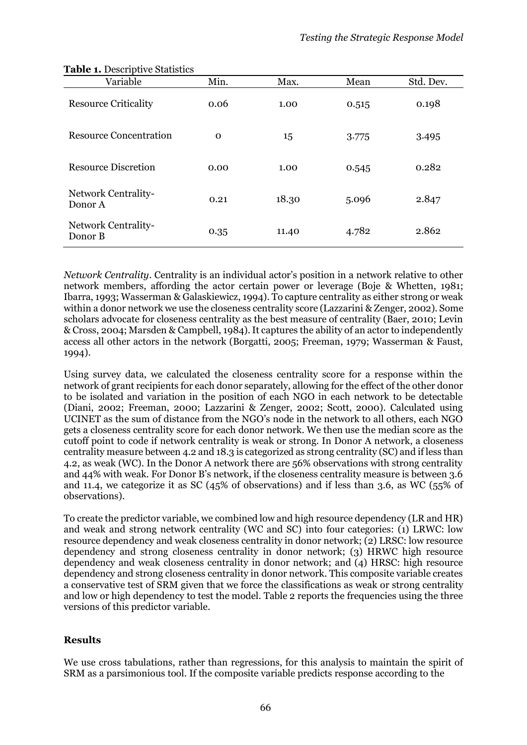| Variable                       | Min.         | Max.  | Mean  | Std. Dev. |  |
|--------------------------------|--------------|-------|-------|-----------|--|
| <b>Resource Criticality</b>    | 0.06         | 1.00  | 0.515 | 0.198     |  |
| <b>Resource Concentration</b>  | $\mathbf{O}$ | 15    | 3.775 | 3.495     |  |
| <b>Resource Discretion</b>     | 0.00         | 1.00  | 0.545 | 0.282     |  |
| Network Centrality-<br>Donor A | 0.21         | 18.30 | 5.096 | 2.847     |  |
| Network Centrality-<br>Donor B | 0.35         | 11.40 | 4.782 | 2.862     |  |

#### **Table 1. Descriptive Statistics**

*Network Centrality*. Centrality is an individual actor's position in a network relative to other network members, affording the actor certain power or leverage (Boje & Whetten, 1981; Ibarra, 1993; Wasserman & Galaskiewicz, 1994). To capture centrality as either strong or weak within a donor network we use the closeness centrality score (Lazzarini & Zenger, 2002). Some scholars advocate for closeness centrality as the best measure of centrality (Baer, 2010; Levin & Cross, 2004; Marsden & Campbell, 1984). It captures the ability of an actor to independently access all other actors in the network (Borgatti, 2005; Freeman, 1979; Wasserman & Faust, 1994).

Using survey data, we calculated the closeness centrality score for a response within the network of grant recipients for each donor separately, allowing for the effect of the other donor to be isolated and variation in the position of each NGO in each network to be detectable (Diani, 2002; Freeman, 2000; Lazzarini & Zenger, 2002; Scott, 2000). Calculated using UCINET as the sum of distance from the NGO's node in the network to all others, each NGO gets a closeness centrality score for each donor network. We then use the median score as the cutoff point to code if network centrality is weak or strong. In Donor A network, a closeness centrality measure between 4.2 and 18.3 is categorized as strong centrality (SC) and if less than 4.2, as weak (WC). In the Donor A network there are 56% observations with strong centrality and 44% with weak. For Donor B's network, if the closeness centrality measure is between 3.6 and 11.4, we categorize it as SC (45% of observations) and if less than 3.6, as WC (55% of observations).

To create the predictor variable, we combined low and high resource dependency (LR and HR) and weak and strong network centrality (WC and SC) into four categories: (1) LRWC: low resource dependency and weak closeness centrality in donor network; (2) LRSC: low resource dependency and strong closeness centrality in donor network; (3) HRWC high resource dependency and weak closeness centrality in donor network; and (4) HRSC: high resource dependency and strong closeness centrality in donor network. This composite variable creates a conservative test of SRM given that we force the classifications as weak or strong centrality and low or high dependency to test the model. Table 2 reports the frequencies using the three versions of this predictor variable.

### **Results**

We use cross tabulations, rather than regressions, for this analysis to maintain the spirit of SRM as a parsimonious tool. If the composite variable predicts response according to the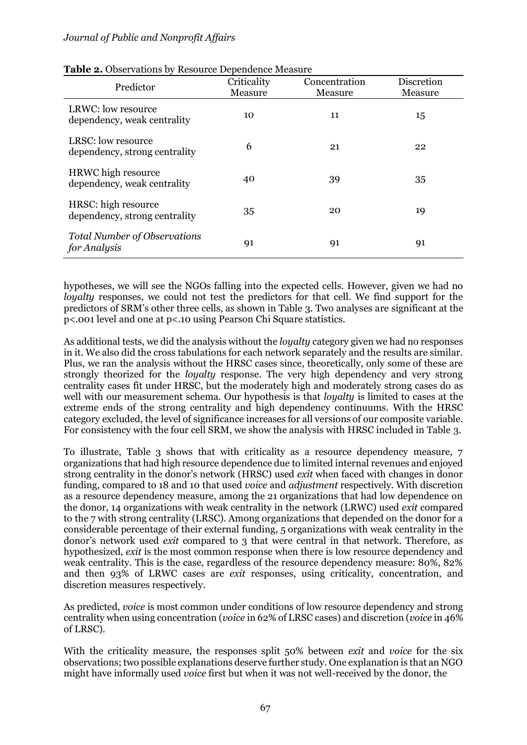| Predictor                                                | Criticality<br>Measure | Concentration<br>Measure | Discretion<br>Measure |  |
|----------------------------------------------------------|------------------------|--------------------------|-----------------------|--|
| LRWC: low resource<br>dependency, weak centrality        | 10                     | 11                       | 15                    |  |
| LRSC: low resource<br>dependency, strong centrality      | 6                      | 21                       | 22                    |  |
| <b>HRWC</b> high resource<br>dependency, weak centrality | 40                     | 39                       | 35                    |  |
| HRSC: high resource<br>dependency, strong centrality     | 35                     | 20                       | 19                    |  |
| <b>Total Number of Observations</b><br>for Analysis      | 91                     | 91                       | 91                    |  |

#### **Table 2.** Observations by Resource Dependence Measure

hypotheses, we will see the NGOs falling into the expected cells. However, given we had no *loyalty* responses, we could not test the predictors for that cell. We find support for the predictors of SRM's other three cells, as shown in Table 3. Two analyses are significant at the p<.001 level and one at p<.10 using Pearson Chi Square statistics.

As additional tests, we did the analysis without the *loyalty* category given we had no responses in it. We also did the cross tabulations for each network separately and the results are similar. Plus, we ran the analysis without the HRSC cases since, theoretically, only some of these are strongly theorized for the *loyalty* response. The very high dependency and very strong centrality cases fit under HRSC, but the moderately high and moderately strong cases do as well with our measurement schema. Our hypothesis is that *loyalty* is limited to cases at the extreme ends of the strong centrality and high dependency continuums. With the HRSC category excluded, the level of significance increases for all versions of our composite variable. For consistency with the four cell SRM, we show the analysis with HRSC included in Table 3.

To illustrate, Table 3 shows that with criticality as a resource dependency measure, 7 organizations that had high resource dependence due to limited internal revenues and enjoyed strong centrality in the donor's network (HRSC) used *exit* when faced with changes in donor funding, compared to 18 and 10 that used *voice* and *adjustment* respectively. With discretion as a resource dependency measure, among the 21 organizations that had low dependence on the donor, 14 organizations with weak centrality in the network (LRWC) used *exit* compared to the 7 with strong centrality (LRSC). Among organizations that depended on the donor for a considerable percentage of their external funding, 5 organizations with weak centrality in the donor's network used *exit* compared to 3 that were central in that network. Therefore, as hypothesized, *exit* is the most common response when there is low resource dependency and weak centrality. This is the case, regardless of the resource dependency measure: 80%, 82% and then 93% of LRWC cases are *exit* responses, using criticality, concentration, and discretion measures respectively.

As predicted, *voice* is most common under conditions of low resource dependency and strong centrality when using concentration (*voice* in 62% of LRSC cases) and discretion (*voice* in 46% of LRSC).

With the criticality measure, the responses split 50% between *exit* and *voice* for the six observations; two possible explanations deserve further study. One explanation is that an NGO might have informally used *voice* first but when it was not well-received by the donor, the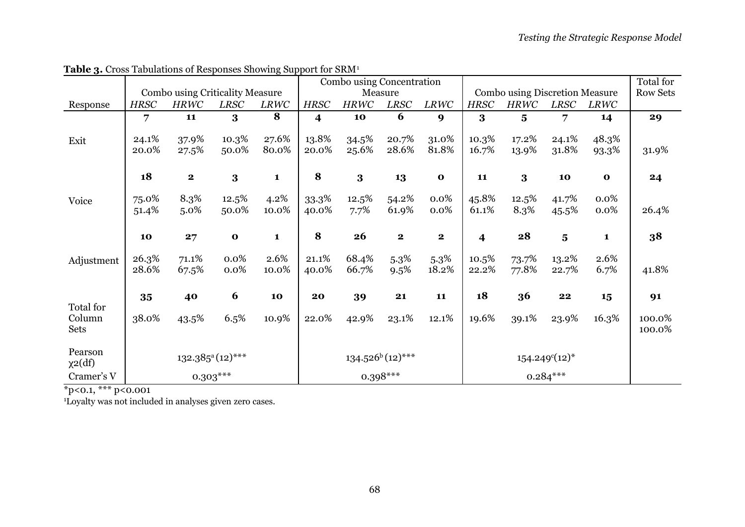|              |                                   |                                        |              | $\sim$              | Combo using Concentration |                |                           |                                       |                         |                 |                         | Total for       |        |
|--------------|-----------------------------------|----------------------------------------|--------------|---------------------|---------------------------|----------------|---------------------------|---------------------------------------|-------------------------|-----------------|-------------------------|-----------------|--------|
|              |                                   | <b>Combo using Criticality Measure</b> |              |                     | Measure                   |                |                           | <b>Combo using Discretion Measure</b> |                         |                 |                         | <b>Row Sets</b> |        |
| Response     | <b>HRSC</b>                       | <b>HRWC</b>                            | <b>LRSC</b>  | LRWC                | <b>HRSC</b>               | <b>HRWC</b>    | <b>LRSC</b>               | LRWC                                  | <b>HRSC</b>             | <b>HRWC</b>     | <b>LRSC</b>             | <b>LRWC</b>     |        |
|              | $\overline{7}$                    | 11                                     | 3            | 8                   | $\overline{\mathbf{4}}$   | 10             | 6                         | 9                                     | 3                       | $5\overline{)}$ | $\overline{7}$          | 14              | 29     |
|              | 24.1%                             |                                        | 10.3%        | 27.6%               | 13.8%                     |                | 20.7%                     | 31.0%                                 | 10.3%                   | 17.2%           | 24.1%                   | 48.3%           |        |
| Exit         | 20.0%                             | 37.9%<br>27.5%                         | 50.0%        | 80.0%               | 20.0%                     | 34.5%<br>25.6% | 28.6%                     | 81.8%                                 | 16.7%                   | 13.9%           | 31.8%                   | 93.3%           | 31.9%  |
|              |                                   |                                        |              |                     |                           |                |                           |                                       |                         |                 |                         |                 |        |
|              | 18                                | $\mathbf{2}$                           | $\bf{3}$     | $\mathbf{1}$        | 8                         | $\bf{3}$       | 13                        | $\mathbf{o}$                          | 11                      | $\bf{3}$        | 10                      | $\mathbf{o}$    | 24     |
|              |                                   |                                        |              |                     |                           |                |                           |                                       |                         |                 |                         |                 |        |
| Voice        | 75.0%                             | 8.3%                                   | $12.5\%$     | 4.2%                | 33.3%                     | 12.5%          | 54.2%                     | 0.0%                                  | 45.8%                   | 12.5%           | 41.7%                   | 0.0%            |        |
|              | 51.4%                             | 5.0%                                   | 50.0%        | 10.0%               | 40.0%                     | 7.7%           | 61.9%                     | 0.0%                                  | 61.1%                   | 8.3%            | 45.5%                   | 0.0%            | 26.4%  |
|              |                                   |                                        |              |                     |                           |                |                           |                                       |                         |                 |                         |                 |        |
|              | 10                                | 27                                     | $\mathbf{o}$ | $\mathbf{1}$        | 8                         | 26             | $\mathbf{2}$              | $\mathbf{2}$                          | $\overline{\mathbf{4}}$ | 28              | $\overline{\mathbf{5}}$ | $\mathbf{1}$    | 38     |
| Adjustment   | 26.3%                             | 71.1%                                  | 0.0%         | 2.6%                | 21.1%                     | 68.4%          | $5.3\%$                   | $5.3\%$                               | 10.5%                   | 73.7%           | 13.2%                   | 2.6%            |        |
|              | 28.6%                             | 67.5%                                  | 0.0%         | 10.0%               | 40.0%                     | 66.7%          | 9.5%                      | 18.2%                                 | 22.2%                   | 77.8%           | 22.7%                   | 6.7%            | 41.8%  |
|              |                                   |                                        |              |                     |                           |                |                           |                                       |                         |                 |                         |                 |        |
|              | 35                                | 40                                     | 6            | 10                  | 20                        | 39             | 21                        | 11                                    | 18                      | 36              | 22                      | 15              | 91     |
| Total for    |                                   |                                        |              |                     |                           |                |                           |                                       |                         |                 |                         |                 |        |
| Column       | 38.0%                             | 43.5%                                  | 6.5%         | 10.9%               | 22.0%                     | 42.9%          | 23.1%                     | 12.1%                                 | 19.6%                   | 39.1%           | 23.9%                   | 16.3%           | 100.0% |
| Sets         |                                   |                                        |              |                     |                           |                |                           |                                       |                         |                 |                         |                 | 100.0% |
| Pearson      |                                   |                                        |              |                     |                           |                |                           |                                       |                         |                 |                         |                 |        |
| $\chi$ 2(df) | $132.385$ <sup>a</sup> $(12)$ *** |                                        |              | $134.526^b(12)$ *** |                           |                | $154.249^{\circ}(12)^{*}$ |                                       |                         |                 |                         |                 |        |
| Cramer's V   | $0.303***$                        |                                        |              |                     | $0.398***$                |                |                           |                                       | $0.284***$              |                 |                         |                 |        |

**Table 3.** Cross Tabulations of Responses Showing Support for SRM<sup>1</sup>

\*p<0.1, \*\*\* p<0.001

1Loyalty was not included in analyses given zero cases.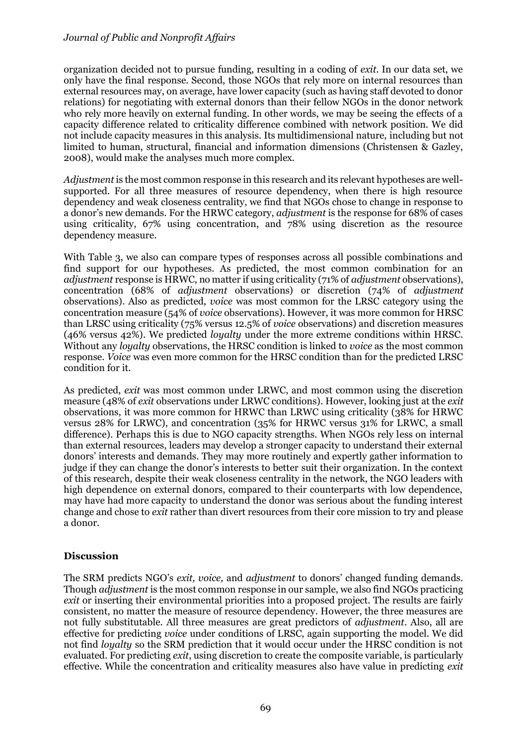organization decided not to pursue funding, resulting in a coding of *exit*. In our data set, we only have the final response. Second, those NGOs that rely more on internal resources than external resources may, on average, have lower capacity (such as having staff devoted to donor relations) for negotiating with external donors than their fellow NGOs in the donor network who rely more heavily on external funding. In other words, we may be seeing the effects of a capacity difference related to criticality difference combined with network position. We did not include capacity measures in this analysis. Its multidimensional nature, including but not limited to human, structural, financial and information dimensions (Christensen & Gazley, 2008), would make the analyses much more complex.

*Adjustment* is the most common response in this research and its relevant hypotheses are wellsupported. For all three measures of resource dependency, when there is high resource dependency and weak closeness centrality, we find that NGOs chose to change in response to a donor's new demands. For the HRWC category, *adjustment* is the response for 68% of cases using criticality, 67% using concentration, and 78% using discretion as the resource dependency measure.

With Table 3, we also can compare types of responses across all possible combinations and find support for our hypotheses. As predicted, the most common combination for an *adjustment* response is HRWC, no matter if using criticality (71% of *adjustment* observations), concentration (68% of *adjustment* observations) or discretion (74% of *adjustment* observations). Also as predicted, *voice* was most common for the LRSC category using the concentration measure (54% of *voice* observations). However, it was more common for HRSC than LRSC using criticality (75% versus 12.5% of *voice* observations) and discretion measures (46% versus 42%). We predicted *loyalty* under the more extreme conditions within HRSC. Without any *loyalty* observations, the HRSC condition is linked to *voice* as the most common response. *Voice* was even more common for the HRSC condition than for the predicted LRSC condition for it.

As predicted, *exit* was most common under LRWC, and most common using the discretion measure (48% of *exit* observations under LRWC conditions). However, looking just at the *exit* observations, it was more common for HRWC than LRWC using criticality (38% for HRWC versus 28% for LRWC), and concentration (35% for HRWC versus 31% for LRWC, a small difference). Perhaps this is due to NGO capacity strengths. When NGOs rely less on internal than external resources, leaders may develop a stronger capacity to understand their external donors' interests and demands. They may more routinely and expertly gather information to judge if they can change the donor's interests to better suit their organization. In the context of this research, despite their weak closeness centrality in the network, the NGO leaders with high dependence on external donors, compared to their counterparts with low dependence, may have had more capacity to understand the donor was serious about the funding interest change and chose to *exit* rather than divert resources from their core mission to try and please a donor.

### **Discussion**

The SRM predicts NGO's *exit, voice,* and *adjustment* to donors' changed funding demands. Though *adjustment* is the most common response in our sample, we also find NGOs practicing *exit* or inserting their environmental priorities into a proposed project. The results are fairly consistent, no matter the measure of resource dependency. However, the three measures are not fully substitutable. All three measures are great predictors of *adjustment*. Also, all are effective for predicting *voice* under conditions of LRSC, again supporting the model. We did not find *loyalty* so the SRM prediction that it would occur under the HRSC condition is not evaluated. For predicting *exit*, using discretion to create the composite variable, is particularly effective. While the concentration and criticality measures also have value in predicting *exit*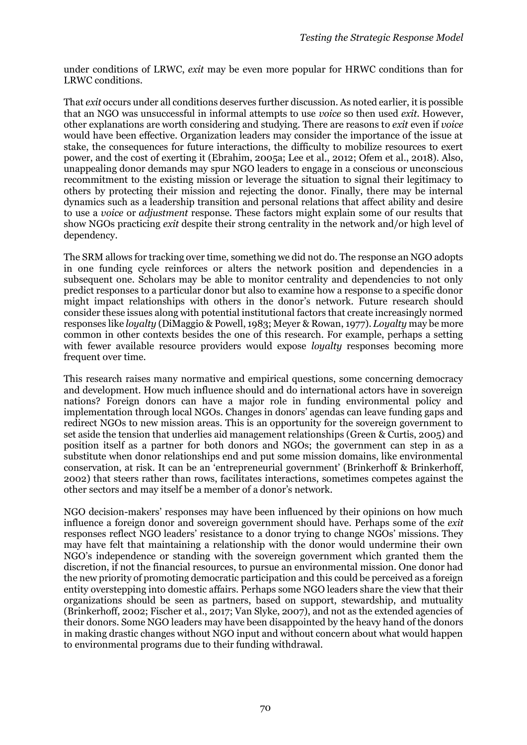under conditions of LRWC, *exit* may be even more popular for HRWC conditions than for LRWC conditions.

That *exit* occurs under all conditions deserves further discussion. As noted earlier, it is possible that an NGO was unsuccessful in informal attempts to use *voice* so then used *exit*. However, other explanations are worth considering and studying. There are reasons to *exit* even if *voice* would have been effective. Organization leaders may consider the importance of the issue at stake, the consequences for future interactions, the difficulty to mobilize resources to exert power, and the cost of exerting it (Ebrahim, 2005a; Lee et al., 2012; Ofem et al., 2018). Also, unappealing donor demands may spur NGO leaders to engage in a conscious or unconscious recommitment to the existing mission or leverage the situation to signal their legitimacy to others by protecting their mission and rejecting the donor. Finally, there may be internal dynamics such as a leadership transition and personal relations that affect ability and desire to use a *voice* or *adjustment* response. These factors might explain some of our results that show NGOs practicing *exit* despite their strong centrality in the network and/or high level of dependency.

The SRM allows for tracking over time, something we did not do. The response an NGO adopts in one funding cycle reinforces or alters the network position and dependencies in a subsequent one. Scholars may be able to monitor centrality and dependencies to not only predict responses to a particular donor but also to examine how a response to a specific donor might impact relationships with others in the donor's network. Future research should consider these issues along with potential institutional factors that create increasingly normed responses like *loyalty* (DiMaggio & Powell, 1983; Meyer & Rowan, 1977). *Loyalty* may be more common in other contexts besides the one of this research. For example, perhaps a setting with fewer available resource providers would expose *loyalty* responses becoming more frequent over time.

This research raises many normative and empirical questions, some concerning democracy and development. How much influence should and do international actors have in sovereign nations? Foreign donors can have a major role in funding environmental policy and implementation through local NGOs. Changes in donors' agendas can leave funding gaps and redirect NGOs to new mission areas. This is an opportunity for the sovereign government to set aside the tension that underlies aid management relationships (Green & Curtis, 2005) and position itself as a partner for both donors and NGOs; the government can step in as a substitute when donor relationships end and put some mission domains, like environmental conservation, at risk. It can be an 'entrepreneurial government' (Brinkerhoff & Brinkerhoff, 2002) that steers rather than rows, facilitates interactions, sometimes competes against the other sectors and may itself be a member of a donor's network.

NGO decision-makers' responses may have been influenced by their opinions on how much influence a foreign donor and sovereign government should have. Perhaps some of the *exit* responses reflect NGO leaders' resistance to a donor trying to change NGOs' missions. They may have felt that maintaining a relationship with the donor would undermine their own NGO's independence or standing with the sovereign government which granted them the discretion, if not the financial resources, to pursue an environmental mission. One donor had the new priority of promoting democratic participation and this could be perceived as a foreign entity overstepping into domestic affairs. Perhaps some NGO leaders share the view that their organizations should be seen as partners, based on support, stewardship, and mutuality (Brinkerhoff, 2002; Fischer et al., 2017; Van Slyke, 2007), and not as the extended agencies of their donors. Some NGO leaders may have been disappointed by the heavy hand of the donors in making drastic changes without NGO input and without concern about what would happen to environmental programs due to their funding withdrawal.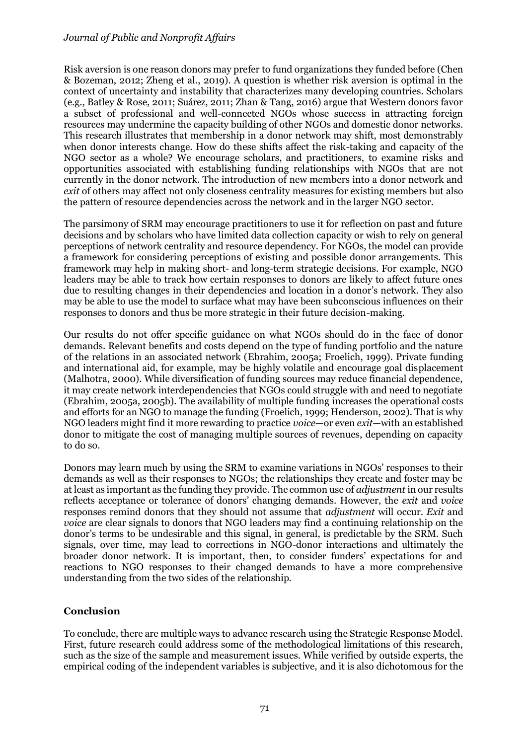Risk aversion is one reason donors may prefer to fund organizations they funded before (Chen & Bozeman, 2012; Zheng et al., 2019). A question is whether risk aversion is optimal in the context of uncertainty and instability that characterizes many developing countries. Scholars (e.g., Batley & Rose, 2011; Suárez, 2011; Zhan & Tang, 2016) argue that Western donors favor a subset of professional and well-connected NGOs whose success in attracting foreign resources may undermine the capacity building of other NGOs and domestic donor networks. This research illustrates that membership in a donor network may shift, most demonstrably when donor interests change. How do these shifts affect the risk-taking and capacity of the NGO sector as a whole? We encourage scholars, and practitioners, to examine risks and opportunities associated with establishing funding relationships with NGOs that are not currently in the donor network. The introduction of new members into a donor network and *exit* of others may affect not only closeness centrality measures for existing members but also the pattern of resource dependencies across the network and in the larger NGO sector.

The parsimony of SRM may encourage practitioners to use it for reflection on past and future decisions and by scholars who have limited data collection capacity or wish to rely on general perceptions of network centrality and resource dependency. For NGOs, the model can provide a framework for considering perceptions of existing and possible donor arrangements. This framework may help in making short- and long-term strategic decisions. For example, NGO leaders may be able to track how certain responses to donors are likely to affect future ones due to resulting changes in their dependencies and location in a donor's network. They also may be able to use the model to surface what may have been subconscious influences on their responses to donors and thus be more strategic in their future decision-making.

Our results do not offer specific guidance on what NGOs should do in the face of donor demands. Relevant benefits and costs depend on the type of funding portfolio and the nature of the relations in an associated network (Ebrahim, 2005a; Froelich, 1999). Private funding and international aid, for example, may be highly volatile and encourage goal displacement (Malhotra, 2000). While diversification of funding sources may reduce financial dependence, it may create network interdependencies that NGOs could struggle with and need to negotiate (Ebrahim, 2005a, 2005b). The availability of multiple funding increases the operational costs and efforts for an NGO to manage the funding (Froelich, 1999; Henderson, 2002). That is why NGO leaders might find it more rewarding to practice *voice*—or even *exit*—with an established donor to mitigate the cost of managing multiple sources of revenues, depending on capacity to do so.

Donors may learn much by using the SRM to examine variations in NGOs' responses to their demands as well as their responses to NGOs; the relationships they create and foster may be at least as important as the funding they provide. The common use of *adjustment* in our results reflects acceptance or tolerance of donors' changing demands. However, the *exit* and *voice* responses remind donors that they should not assume that *adjustment* will occur. *Exit* and *voice* are clear signals to donors that NGO leaders may find a continuing relationship on the donor's terms to be undesirable and this signal, in general, is predictable by the SRM. Such signals, over time, may lead to corrections in NGO-donor interactions and ultimately the broader donor network. It is important, then, to consider funders' expectations for and reactions to NGO responses to their changed demands to have a more comprehensive understanding from the two sides of the relationship.

### **Conclusion**

To conclude, there are multiple ways to advance research using the Strategic Response Model. First, future research could address some of the methodological limitations of this research, such as the size of the sample and measurement issues. While verified by outside experts, the empirical coding of the independent variables is subjective, and it is also dichotomous for the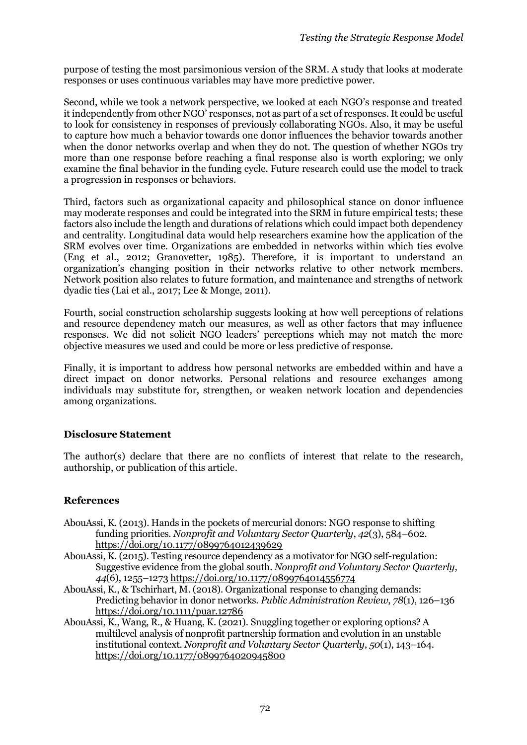purpose of testing the most parsimonious version of the SRM. A study that looks at moderate responses or uses continuous variables may have more predictive power.

Second, while we took a network perspective, we looked at each NGO's response and treated it independently from other NGO' responses, not as part of a set of responses. It could be useful to look for consistency in responses of previously collaborating NGOs. Also, it may be useful to capture how much a behavior towards one donor influences the behavior towards another when the donor networks overlap and when they do not. The question of whether NGOs try more than one response before reaching a final response also is worth exploring; we only examine the final behavior in the funding cycle. Future research could use the model to track a progression in responses or behaviors.

Third, factors such as organizational capacity and philosophical stance on donor influence may moderate responses and could be integrated into the SRM in future empirical tests; these factors also include the length and durations of relations which could impact both dependency and centrality. Longitudinal data would help researchers examine how the application of the SRM evolves over time. Organizations are embedded in networks within which ties evolve (Eng et al., 2012; Granovetter, 1985). Therefore, it is important to understand an organization's changing position in their networks relative to other network members. Network position also relates to future formation, and maintenance and strengths of network dyadic ties (Lai et al., 2017; Lee & Monge, 2011).

Fourth, social construction scholarship suggests looking at how well perceptions of relations and resource dependency match our measures, as well as other factors that may influence responses. We did not solicit NGO leaders' perceptions which may not match the more objective measures we used and could be more or less predictive of response.

Finally, it is important to address how personal networks are embedded within and have a direct impact on donor networks. Personal relations and resource exchanges among individuals may substitute for, strengthen, or weaken network location and dependencies among organizations.

### **Disclosure Statement**

The author(s) declare that there are no conflicts of interest that relate to the research, authorship, or publication of this article.

# **References**

- AbouAssi, K. (2013). Hands in the pockets of mercurial donors: NGO response to shifting funding priorities. *Nonprofit and Voluntary Sector Quarterly*, *42*(3), 584–602. https://doi.org/10.1177/0899764012439629
- AbouAssi, K. (2015). Testing resource dependency as a motivator for NGO self-regulation: Suggestive evidence from the global south. *Nonprofit and Voluntary Sector Quarterly*, *44*(6), 1255–127[3 https://doi.org/10.1177/0899764014556774](https://doi.org/10.1177/0899764014556774)
- AbouAssi, K., & Tschirhart, M. (2018). Organizational response to changing demands: Predicting behavior in donor networks. *Public Administration Review*, *78*(1), 126–136 <https://doi.org/10.1111/puar.12786>
- AbouAssi, K., Wang, R., & Huang, K. (2021). Snuggling together or exploring options? A multilevel analysis of nonprofit partnership formation and evolution in an unstable institutional context. *Nonprofit and Voluntary Sector Quarterly*, *50*(1), 143–164. [https://doi.org/10.1177/0899764020945800](https://doi.org/10.1177%2F0899764020945800)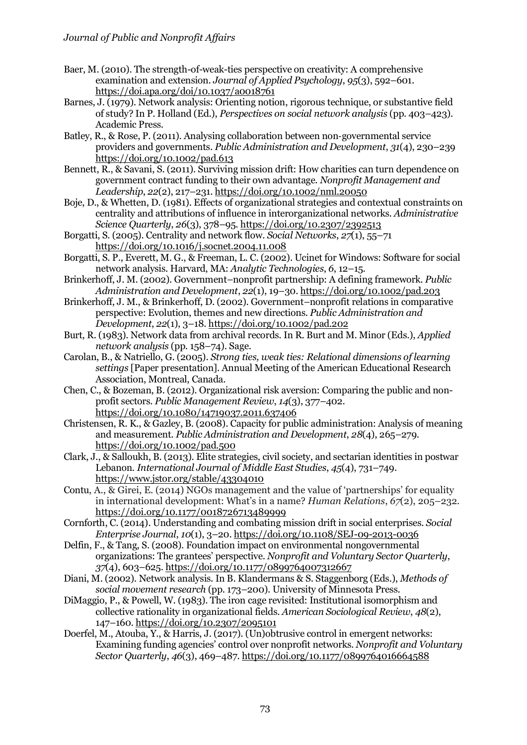- Baer, M. (2010). The strength-of-weak-ties perspective on creativity: A comprehensive examination and extension. *Journal of Applied Psychology*, *95*(3), 592–601. https://doi.apa.org/doi/10.1037/a0018761
- Barnes, J. (1979). Network analysis: Orienting notion, rigorous technique, or substantive field of study? In P. Holland (Ed.), *Perspectives on social network analysis* (pp. 403–423). Academic Press.
- Batley, R., & Rose, P. (2011). Analysing collaboration between non‐governmental service providers and governments. *Public Administration and Development*, *31*(4), 230–239 https://doi.org/10.1002/pad.613
- Bennett, R., & Savani, S. (2011). Surviving mission drift: How charities can turn dependence on government contract funding to their own advantage. *Nonprofit Management and Leadership*, *22*(2), 217–231. https://doi.org/10.1002/nml.20050
- Boje, D., & Whetten, D. (1981). Effects of organizational strategies and contextual constraints on centrality and attributions of influence in interorganizational networks. *Administrative Science Quarterly*, *26*(3), 378–95. https://doi.org/10.2307/2392513
- Borgatti, S. (2005). Centrality and network flow. *Social Networks*, *27*(1), 55–71 <https://doi.org/10.1016/j.socnet.2004.11.008>
- Borgatti, S. P., Everett, M. G., & Freeman, L. C. (2002). Ucinet for Windows: Software for social network analysis. Harvard, MA: *Analytic Technologies*, *6*, 12–15.
- Brinkerhoff, J. M. (2002). Government–nonprofit partnership: A defining framework. *Public Administration and Development*, *22*(1), 19–30. https://doi.org/10.1002/pad.203
- Brinkerhoff, J. M., & Brinkerhoff, D. (2002). Government–nonprofit relations in comparative perspective: Evolution, themes and new directions. *Public Administration and Development*, *22*(1), 3–18. https://doi.org/10.1002/pad.202
- Burt, R. (1983). Network data from archival records. In R. Burt and M. Minor (Eds.), *Applied network analysis* (pp. 158–74). Sage.
- Carolan, B., & Natriello, G. (2005). *Strong ties, weak ties: Relational dimensions of learning settings* [Paper presentation]. Annual Meeting of the American Educational Research Association, Montreal, Canada.
- Chen, C., & Bozeman, B. (2012). Organizational risk aversion: Comparing the public and nonprofit sectors. *Public Management Review*, *14*(3), 377–402. https://doi.org/10.1080/14719037.2011.637406
- Christensen, R. K., & Gazley, B. (2008). Capacity for public administration: Analysis of meaning and measurement. *Public Administration and Development*, *28*(4), 265–279. https://doi.org/10.1002/pad.500
- Clark, J., & Salloukh, B. (2013). Elite strategies, civil society, and sectarian identities in postwar Lebanon. *International Journal of Middle East Studies*, *45*(4), 731–749. https://www.jstor.org/stable/43304010
- Contu, A., & Girei, E. (2014) NGOs management and the value of 'partnerships' for equality in international development: What's in a name? *Human Relations*, *67*(2), 205–232. [https://doi.org/10.1177/0018726713489999](https://doi.org/10.1177%2F0018726713489999)
- Cornforth, C. (2014). Understanding and combating mission drift in social enterprises. *Social Enterprise Journal*, *10*(1), 3–20. https://doi.org/10.1108/SEJ-09-2013-0036
- Delfin, F., & Tang, S. (2008). Foundation impact on environmental nongovernmental organizations: The grantees' perspective. *Nonprofit and Voluntary Sector Quarterly*, *37*(4), 603–625. https://doi.org/10.1177/0899764007312667
- Diani, M. (2002). Network analysis. In B. Klandermans & S. Staggenborg (Eds.), *Methods of social movement research* (pp. 173–200). University of Minnesota Press.
- DiMaggio, P., & Powell, W. (1983). The iron cage revisited: Institutional isomorphism and collective rationality in organizational fields. *American Sociological Review*, *48*(2), 147–160. https://doi.org/10.2307/2095101
- Doerfel, M., Atouba, Y., & Harris, J. (2017). (Un)obtrusive control in emergent networks: Examining funding agencies' control over nonprofit networks. *Nonprofit and Voluntary Sector Quarterly*, *46*(3), 469–487. https://doi.org/10.1177/0899764016664588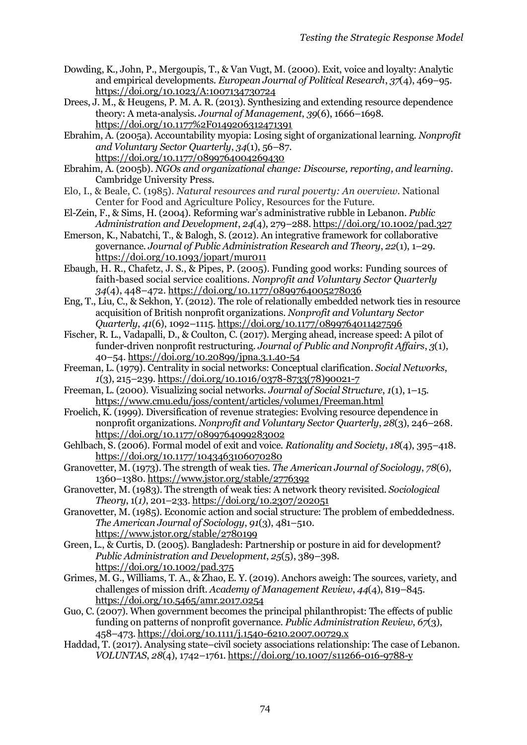- Dowding, K., John, P., Mergoupis, T., & Van Vugt, M. (2000). Exit, voice and loyalty: Analytic and empirical developments. *European Journal of Political Research*, *37*(4), 469–95. https://doi.org/10.1023/A:1007134730724
- Drees, J. M., & Heugens, P. M. A. R. (2013). Synthesizing and extending resource dependence theory: A meta-analysis. *Journal of Management*, *39*(6), 1666–1698. https://doi.org/10.1177%2F0149206312471391

Ebrahim, A. (2005a). Accountability myopia: Losing sight of organizational learning. *Nonprofit and Voluntary Sector Quarterly*, *34*(1), 56–87. https://doi.org/10.1177/0899764004269430

- Ebrahim, A. (2005b). *NGOs and organizational change: Discourse, reporting, and learning*. Cambridge University Press.
- Elo, I., & Beale, C. (1985). *Natural resources and rural poverty: An overview*. National Center for Food and Agriculture Policy, Resources for the Future.
- El-Zein, F., & Sims, H. (2004). Reforming war's administrative rubble in Lebanon. *Public Administration and Development*, *24*(4), 279–288. https://doi.org/10.1002/pad.327
- Emerson, K., Nabatchi, T., & Balogh, S. (2012). An integrative framework for collaborative governance. *Journal of Public Administration Research and Theory*, *22*(1), 1–29. <https://doi.org/10.1093/jopart/mur011>
- Ebaugh, H. R., Chafetz, J. S., & Pipes, P. (2005). Funding good works: Funding sources of faith-based social service coalitions. *Nonprofit and Voluntary Sector Quarterly 34*(4), 448–472. [https://doi.org/10.1177/0899764005278036](https://doi.org/10.1177%2F0899764005278036)
- Eng, T., Liu, C., & Sekhon, Y. (2012). The role of relationally embedded network ties in resource acquisition of British nonprofit organizations. *Nonprofit and Voluntary Sector Quarterly*, *41*(6), 1092–1115. https://doi.org/10.1177/0899764011427596
- Fischer, R. L., Vadapalli, D., & Coulton, C. (2017). Merging ahead, increase speed: A pilot of funder-driven nonprofit restructuring. *Journal of Public and Nonprofit Affairs*, *3*(1), 40–54. https://doi.org/10.20899/jpna.3.1.40-54
- Freeman, L. (1979). Centrality in social networks: Conceptual clarification. *Social Networks*, *1*(3), 215–239. https://doi.org/10.1016/0378-8733(78)90021-7
- Freeman, L. (2000). Visualizing social networks. *Journal of Social Structure*, *1*(1), 1–15. https://www.cmu.edu/joss/content/articles/volume1/Freeman.html
- Froelich, K. (1999). Diversification of revenue strategies: Evolving resource dependence in nonprofit organizations. *Nonprofit and Voluntary Sector Quarterly*, *28*(3), 246–268. https://doi.org/10.1177/0899764099283002
- Gehlbach, S. (2006). Formal model of exit and voice. *Rationality and Society*, *18*(4), 395–418. https://doi.org/10.1177/1043463106070280
- Granovetter, M. (1973). The strength of weak ties. *The American Journal of Sociology*, *78*(6), 1360–1380. https://www.jstor.org/stable/2776392
- Granovetter, M. (1983). The strength of weak ties: A network theory revisited. *Sociological Theory*, 1(*1)*, 201–233. https://doi.org/10.2307/202051
- Granovetter, M. (1985). Economic action and social structure: The problem of embeddedness. *The American Journal of Sociology*, *91*(3), 481–510. https://www.jstor.org/stable/2780199
- Green, L., & Curtis, D. (2005). Bangladesh: Partnership or posture in aid for development? *Public Administration and Development*, *25*(5), 389–398. https://doi.org/10.1002/pad.375
- Grimes, M. G., Williams, T. A., & Zhao, E. Y. (2019). Anchors aweigh: The sources, variety, and challenges of mission drift. *Academy of Management Review*, *44*(4), 819–845. https://doi.org/10.5465/amr.2017.0254
- Guo, C. (2007). When government becomes the principal philanthropist: The effects of public funding on patterns of nonprofit governance. *Public Administration Review*, *67*(3), 458–473. https://doi.org/10.1111/j.1540-6210.2007.00729.x
- Haddad, T. (2017). Analysing state–civil society associations relationship: The case of Lebanon. *VOLUNTAS*, *28*(4), 1742–1761. https://doi.org/10.1007/s11266-016-9788-y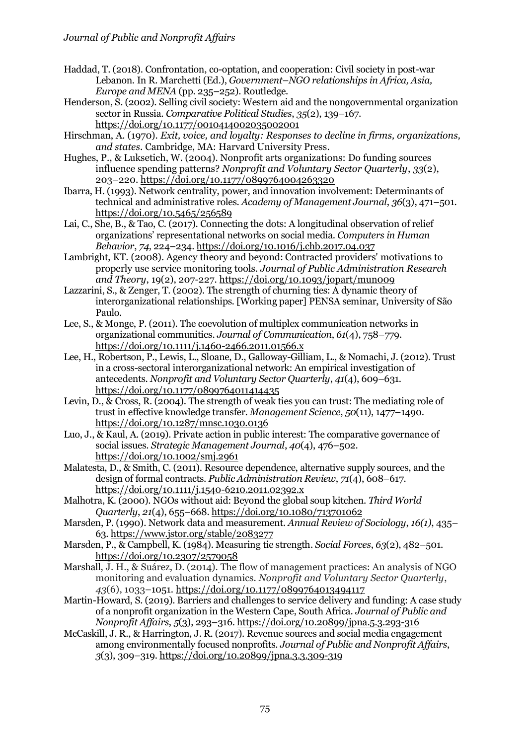- Haddad, T. (2018). Confrontation, co-optation, and cooperation: Civil society in post-war Lebanon. In R. Marchetti (Ed.), *Government–NGO relationships in Africa, Asia, Europe and MENA* (pp. 235–252). Routledge.
- Henderson, S. (2002). Selling civil society: Western aid and the nongovernmental organization sector in Russia. *Comparative Political Studies*, *35*(2), 139–167. https://doi.org/10.1177/0010414002035002001
- Hirschman, A. (1970). *Exit, voice, and loyalty: Responses to decline in firms, organizations, and states*. Cambridge, MA: Harvard University Press.
- Hughes, P., & Luksetich, W. (2004). Nonprofit arts organizations: Do funding sources influence spending patterns? *Nonprofit and Voluntary Sector Quarterly*, *33*(2), 203–220[. https://doi.org/10.1177/0899764004263320](https://doi.org/10.1177%2F0899764004263320)
- Ibarra, H. (1993). Network centrality, power, and innovation involvement: Determinants of technical and administrative roles. *Academy of Management Journal*, *36*(3), 471–501. https://doi.org/10.5465/256589
- Lai, C., She, B., & Tao, C. (2017). Connecting the dots: A longitudinal observation of relief organizations' representational networks on social media. *Computers in Human Behavior*, *74*, 224–234. https://doi.org/10.1016/j.chb.2017.04.037
- Lambright, KT. (2008). Agency theory and beyond: Contracted providers' motivations to properly use service monitoring tools. *Journal of Public Administration Research and Theory*, 19(2), 207-227[. https://doi.org/10.1093/jopart/mun009](https://doi.org/10.1093/jopart/mun009)
- Lazzarini, S., & Zenger, T. (2002). The strength of churning ties: A dynamic theory of interorganizational relationships*.* [Working paper] PENSA seminar, University of São Paulo.
- Lee, S., & Monge, P. (2011). The coevolution of multiplex communication networks in organizational communities. *Journal of Communication*, *61*(4), 758–779. https://doi.org/10.1111/j.1460-2466.2011.01566.x
- Lee, H., Robertson, P., Lewis, L., Sloane, D., Galloway-Gilliam, L., & Nomachi, J. (2012). Trust in a cross-sectoral interorganizational network: An empirical investigation of antecedents. *Nonprofit and Voluntary Sector Quarterly*, *41*(4), 609–631. https://doi.org/10.1177/0899764011414435
- Levin, D., & Cross, R. (2004). The strength of weak ties you can trust: The mediating role of trust in effective knowledge transfer. *Management Science*, *50*(11), 1477–1490. https://doi.org/10.1287/mnsc.1030.0136
- Luo, J., & Kaul, A. (2019). Private action in public interest: The comparative governance of social issues. *Strategic Management Journal*, *40*(4), 476–502. https://doi.org/10.1002/smj.2961
- Malatesta, D., & Smith, C. (2011). Resource dependence, alternative supply sources, and the design of formal contracts. *Public Administration Review*, *71*(4), 608–617. https://doi.org/10.1111/j.1540-6210.2011.02392.x
- Malhotra, K. (2000). NGOs without aid: Beyond the global soup kitchen. *Third World Quarterly*, *21*(4), 655–668. https://doi.org/10.1080/713701062
- Marsden, P. (1990). Network data and measurement. *Annual Review of Sociology*, *16(1)*, 435– 63. https://www.jstor.org/stable/2083277
- Marsden, P., & Campbell, K. (1984). Measuring tie strength. *Social Forces*, *63*(2), 482–501. https://doi.org/10.2307/2579058
- Marshall, J. H., & Suárez, D. (2014). The flow of management practices: An analysis of NGO monitoring and evaluation dynamics. *Nonprofit and Voluntary Sector Quarterly*, *43*(6), 1033–1051[. https://doi.org/10.1177/0899764013494117](https://doi.org/10.1177%2F0899764013494117)
- Martin-Howard, S. (2019). Barriers and challenges to service delivery and funding: A case study of a nonprofit organization in the Western Cape, South Africa. *Journal of Public and Nonprofit Affairs*, *5*(3), 293–316. https://doi.org/10.20899/jpna.5.3.293-316
- McCaskill, J. R., & Harrington, J. R. (2017). Revenue sources and social media engagement among environmentally focused nonprofits. *Journal of Public and Nonprofit Affairs*, *3*(3), 309–319. https://doi.org/10.20899/jpna.3.3.309-319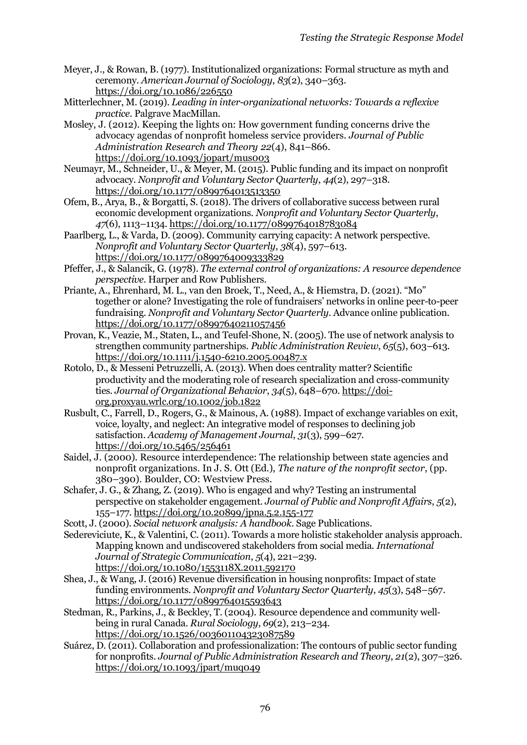- Meyer, J., & Rowan, B. (1977). Institutionalized organizations: Formal structure as myth and ceremony. *American Journal of Sociology*, *83*(2), 340–363. https://doi.org/10.1086/226550
- Mitterlechner, M. (2019). *Leading in inter-organizational networks: Towards a reflexive practice*. Palgrave MacMillan.
- Mosley, J. (2012). Keeping the lights on: How government funding concerns drive the advocacy agendas of nonprofit homeless service providers. *Journal of Public Administration Research and Theory 22*(4), 841–866. <https://doi.org/10.1093/jopart/mus003>
- Neumayr, M., Schneider, U., & Meyer, M. (2015). Public funding and its impact on nonprofit advocacy. *Nonprofit and Voluntary Sector Quarterly*, *44*(2), 297–318. https://doi.org/10.1177/0899764013513350
- Ofem, B., Arya, B., & Borgatti, S. (2018). The drivers of collaborative success between rural economic development organizations. *Nonprofit and Voluntary Sector Quarterly*, *47*(6), 1113–1134. https://doi.org/10.1177/0899764018783084
- Paarlberg, L., & Varda, D. (2009). Community carrying capacity: A network perspective. *Nonprofit and Voluntary Sector Quarterly*, *38*(4), 597–613. https://doi.org/10.1177/0899764009333829
- Pfeffer, J., & Salancik, G. (1978). *The external control of organizations: A resource dependence perspective*. Harper and Row Publishers.
- Priante, A., Ehrenhard, M. L., van den Broek, T., Need, A., & Hiemstra, D. (2021). "Mo" together or alone? Investigating the role of fundraisers' networks in online peer-to-peer fundraising. *Nonprofit and Voluntary Sector Quarterly*. Advance online publication. https://doi.org/10.1177/08997640211057456
- Provan, K., Veazie, M., Staten, L., and Teufel‐Shone, N. (2005). The use of network analysis to strengthen community partnerships. *Public Administration Review*, *65*(5), 603–613. https://doi.org/10.1111/j.1540-6210.2005.00487.x
- Rotolo, D., & Messeni Petruzzelli, A. (2013). When does centrality matter? Scientific productivity and the moderating role of research specialization and cross‐community ties. *Journal of Organizational Behavior*, *34*(5), 648–670. https://doiorg.proxyau.wrlc.org/10.1002/job.1822
- Rusbult, C., Farrell, D., Rogers, G., & Mainous, A. (1988). Impact of exchange variables on exit, voice, loyalty, and neglect: An integrative model of responses to declining job satisfaction. *Academy of Management Journal*, *31*(3), 599–627. https://doi.org/10.5465/256461
- Saidel, J. (2000). Resource interdependence: The relationship between state agencies and nonprofit organizations. In J. S. Ott (Ed.), *The nature of the nonprofit sector*, (pp. 380–390). Boulder, CO: Westview Press.
- Schafer, J. G., & Zhang, Z. (2019). Who is engaged and why? Testing an instrumental perspective on stakeholder engagement. *Journal of Public and Nonprofit Affairs*, *5*(2), 155–177. https://doi.org/10.20899/jpna.5.2.155-177
- Scott, J. (2000). *Social network analysis: A handbook*. Sage Publications.
- Sedereviciute, K., & Valentini, C. (2011). Towards a more holistic stakeholder analysis approach. Mapping known and undiscovered stakeholders from social media. *International Journal of Strategic Communication*, *5*(4), 221–239. https://doi.org/10.1080/1553118X.2011.592170
- Shea, J., & Wang, J. (2016) Revenue diversification in housing nonprofits: Impact of state funding environments. *Nonprofit and Voluntary Sector Quarterly*, *45*(3), 548–567. https://doi.org/10.1177/0899764015593643
- Stedman, R., Parkins, J., & Beckley, T. (2004). Resource dependence and community wellbeing in rural Canada. *Rural Sociology*, *69*(2), 213–234. https://doi.org/10.1526/003601104323087589
- Suárez, D. (2011). Collaboration and professionalization: The contours of public sector funding for nonprofits. *Journal of Public Administration Research and Theory*, *21*(2), 307–326. https://doi.org/10.1093/jpart/muq049